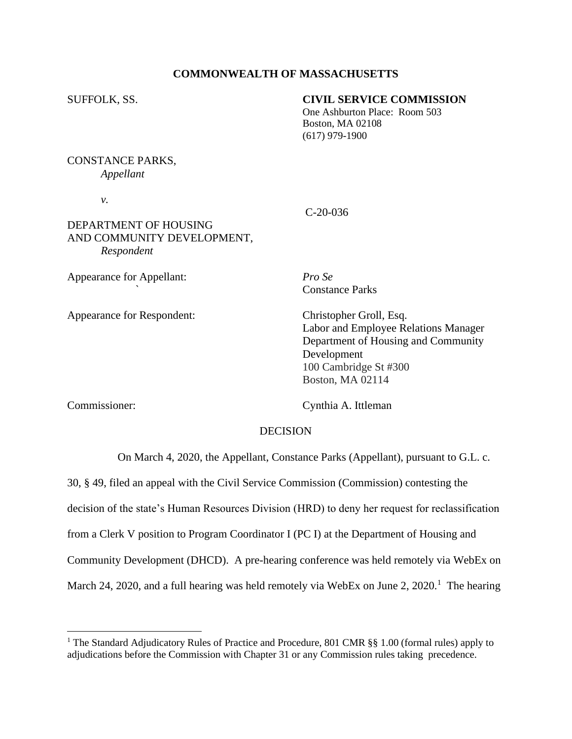## **COMMONWEALTH OF MASSACHUSETTS**

## SUFFOLK, SS. **CIVIL SERVICE COMMISSION**

 One Ashburton Place: Room 503 Boston, MA 02108 (617) 979-1900

# CONSTANCE PARKS, *Appellant*

*v.*

# DEPARTMENT OF HOUSING AND COMMUNITY DEVELOPMENT, *Respondent*

Appearance for Appellant: *Pro Se*

Appearance for Respondent: Christopher Groll, Esq.

C-20-036

*`* Constance Parks

Labor and Employee Relations Manager Department of Housing and Community Development 100 Cambridge St #300 Boston, MA 02114

Commissioner: Cynthia A. Ittleman

# **DECISION**

On March 4, 2020, the Appellant, Constance Parks (Appellant), pursuant to G.L. c.

30, § 49, filed an appeal with the Civil Service Commission (Commission) contesting the

decision of the state's Human Resources Division (HRD) to deny her request for reclassification

from a Clerk V position to Program Coordinator I (PC I) at the Department of Housing and

Community Development (DHCD). A pre-hearing conference was held remotely via WebEx on

March 24, 2020, and a full hearing was held remotely via WebEx on June 2, 2020.<sup>1</sup> The hearing

<sup>&</sup>lt;sup>1</sup> The Standard Adjudicatory Rules of Practice and Procedure, 801 CMR  $\S$ § 1.00 (formal rules) apply to adjudications before the Commission with Chapter 31 or any Commission rules taking precedence.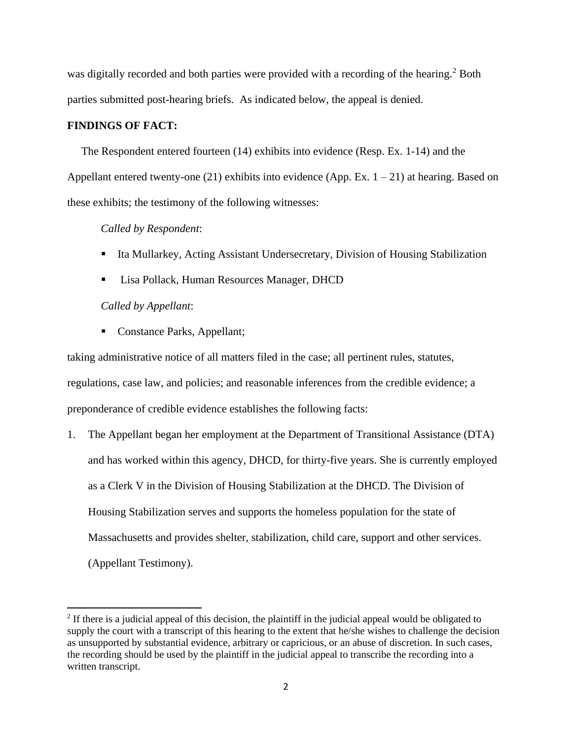was digitally recorded and both parties were provided with a recording of the hearing.<sup>2</sup> Both parties submitted post-hearing briefs. As indicated below, the appeal is denied.

## **FINDINGS OF FACT:**

The Respondent entered fourteen (14) exhibits into evidence (Resp. Ex. 1-14) and the Appellant entered twenty-one  $(21)$  exhibits into evidence (App. Ex.  $1 - 21$ ) at hearing. Based on these exhibits; the testimony of the following witnesses:

## *Called by Respondent*:

- Ita Mullarkey, Acting Assistant Undersecretary, Division of Housing Stabilization
- Lisa Pollack, Human Resources Manager, DHCD

## *Called by Appellant*:

■ Constance Parks, Appellant;

taking administrative notice of all matters filed in the case; all pertinent rules, statutes, regulations, case law, and policies; and reasonable inferences from the credible evidence; a preponderance of credible evidence establishes the following facts:

1. The Appellant began her employment at the Department of Transitional Assistance (DTA) and has worked within this agency, DHCD, for thirty-five years. She is currently employed as a Clerk V in the Division of Housing Stabilization at the DHCD. The Division of Housing Stabilization serves and supports the homeless population for the state of Massachusetts and provides shelter, stabilization, child care, support and other services. (Appellant Testimony).

 $2<sup>2</sup>$  If there is a judicial appeal of this decision, the plaintiff in the judicial appeal would be obligated to supply the court with a transcript of this hearing to the extent that he/she wishes to challenge the decision as unsupported by substantial evidence, arbitrary or capricious, or an abuse of discretion. In such cases, the recording should be used by the plaintiff in the judicial appeal to transcribe the recording into a written transcript.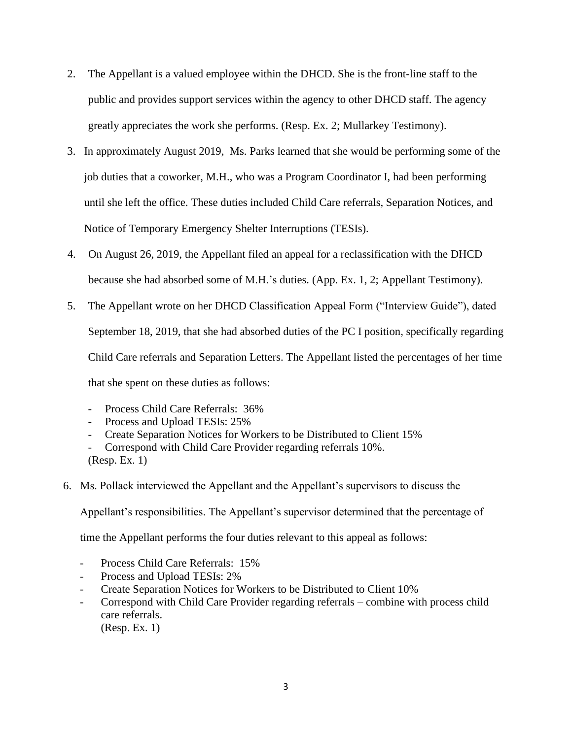- 2. The Appellant is a valued employee within the DHCD. She is the front-line staff to the public and provides support services within the agency to other DHCD staff. The agency greatly appreciates the work she performs. (Resp. Ex. 2; Mullarkey Testimony).
- 3. In approximately August 2019, Ms. Parks learned that she would be performing some of the job duties that a coworker, M.H., who was a Program Coordinator I, had been performing until she left the office. These duties included Child Care referrals, Separation Notices, and Notice of Temporary Emergency Shelter Interruptions (TESIs).
- 4. On August 26, 2019, the Appellant filed an appeal for a reclassification with the DHCD because she had absorbed some of M.H.'s duties. (App. Ex. 1, 2; Appellant Testimony).
- 5. The Appellant wrote on her DHCD Classification Appeal Form ("Interview Guide"), dated September 18, 2019, that she had absorbed duties of the PC I position, specifically regarding Child Care referrals and Separation Letters. The Appellant listed the percentages of her time that she spent on these duties as follows:
	- Process Child Care Referrals: 36%
	- Process and Upload TESIs: 25%
	- Create Separation Notices for Workers to be Distributed to Client 15%
	- Correspond with Child Care Provider regarding referrals 10%. (Resp. Ex. 1)
- 6. Ms. Pollack interviewed the Appellant and the Appellant's supervisors to discuss the

Appellant's responsibilities. The Appellant's supervisor determined that the percentage of

time the Appellant performs the four duties relevant to this appeal as follows:

- Process Child Care Referrals: 15%
- Process and Upload TESIs: 2%
- Create Separation Notices for Workers to be Distributed to Client 10%
- Correspond with Child Care Provider regarding referrals combine with process child care referrals.
	- (Resp. Ex. 1)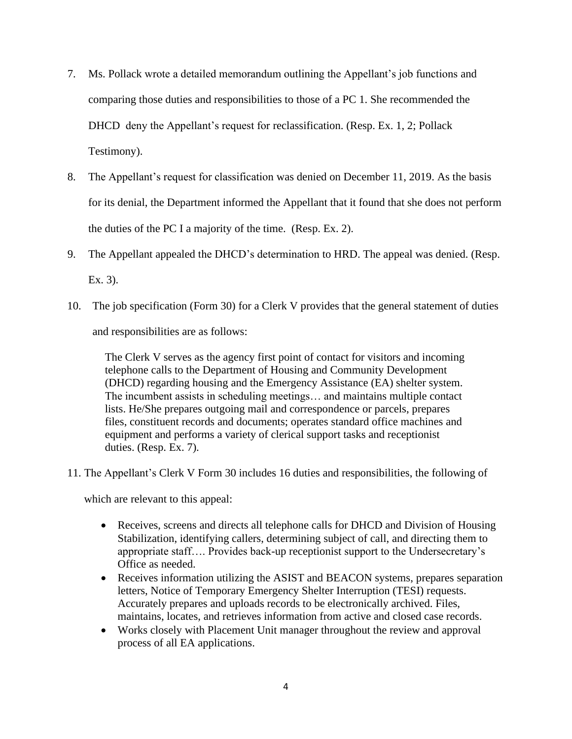- 7. Ms. Pollack wrote a detailed memorandum outlining the Appellant's job functions and comparing those duties and responsibilities to those of a PC 1. She recommended the DHCD deny the Appellant's request for reclassification. (Resp. Ex. 1, 2; Pollack Testimony).
- 8. The Appellant's request for classification was denied on December 11, 2019. As the basis for its denial, the Department informed the Appellant that it found that she does not perform the duties of the PC I a majority of the time. (Resp. Ex. 2).
- 9. The Appellant appealed the DHCD's determination to HRD. The appeal was denied. (Resp. Ex. 3).
- 10. The job specification (Form 30) for a Clerk V provides that the general statement of duties and responsibilities are as follows:

The Clerk V serves as the agency first point of contact for visitors and incoming telephone calls to the Department of Housing and Community Development (DHCD) regarding housing and the Emergency Assistance (EA) shelter system. The incumbent assists in scheduling meetings… and maintains multiple contact lists. He/She prepares outgoing mail and correspondence or parcels, prepares files, constituent records and documents; operates standard office machines and equipment and performs a variety of clerical support tasks and receptionist duties. (Resp. Ex. 7).

11. The Appellant's Clerk V Form 30 includes 16 duties and responsibilities, the following of

which are relevant to this appeal:

- Receives, screens and directs all telephone calls for DHCD and Division of Housing Stabilization, identifying callers, determining subject of call, and directing them to appropriate staff…. Provides back-up receptionist support to the Undersecretary's Office as needed.
- Receives information utilizing the ASIST and BEACON systems, prepares separation letters, Notice of Temporary Emergency Shelter Interruption (TESI) requests. Accurately prepares and uploads records to be electronically archived. Files, maintains, locates, and retrieves information from active and closed case records.
- Works closely with Placement Unit manager throughout the review and approval process of all EA applications.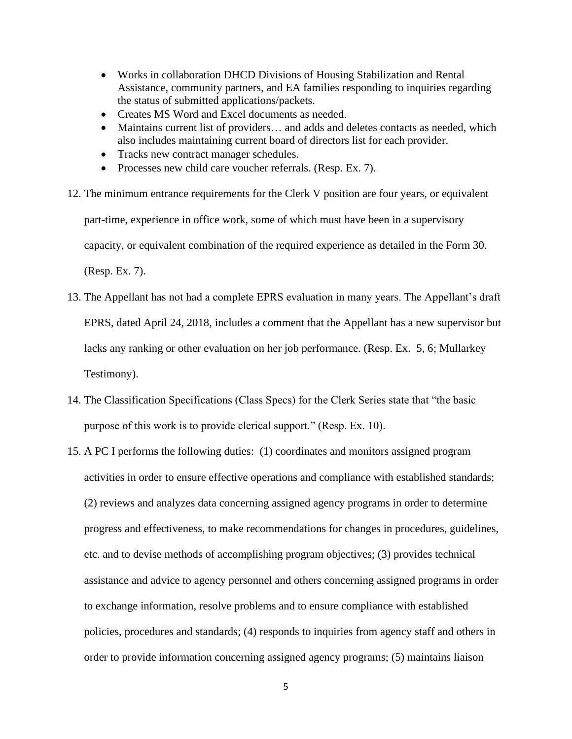- Works in collaboration DHCD Divisions of Housing Stabilization and Rental Assistance, community partners, and EA families responding to inquiries regarding the status of submitted applications/packets.
- Creates MS Word and Excel documents as needed.
- Maintains current list of providers... and adds and deletes contacts as needed, which also includes maintaining current board of directors list for each provider.
- Tracks new contract manager schedules.
- Processes new child care voucher referrals. (Resp. Ex. 7).
- 12. The minimum entrance requirements for the Clerk V position are four years, or equivalent part-time, experience in office work, some of which must have been in a supervisory capacity, or equivalent combination of the required experience as detailed in the Form 30. (Resp. Ex. 7).
- 13. The Appellant has not had a complete EPRS evaluation in many years. The Appellant's draft EPRS, dated April 24, 2018, includes a comment that the Appellant has a new supervisor but lacks any ranking or other evaluation on her job performance. (Resp. Ex. 5, 6; Mullarkey Testimony).
- 14. The Classification Specifications (Class Specs) for the Clerk Series state that "the basic purpose of this work is to provide clerical support." (Resp. Ex. 10).
- 15. A PC I performs the following duties: (1) coordinates and monitors assigned program activities in order to ensure effective operations and compliance with established standards; (2) reviews and analyzes data concerning assigned agency programs in order to determine progress and effectiveness, to make recommendations for changes in procedures, guidelines, etc. and to devise methods of accomplishing program objectives; (3) provides technical assistance and advice to agency personnel and others concerning assigned programs in order to exchange information, resolve problems and to ensure compliance with established policies, procedures and standards; (4) responds to inquiries from agency staff and others in order to provide information concerning assigned agency programs; (5) maintains liaison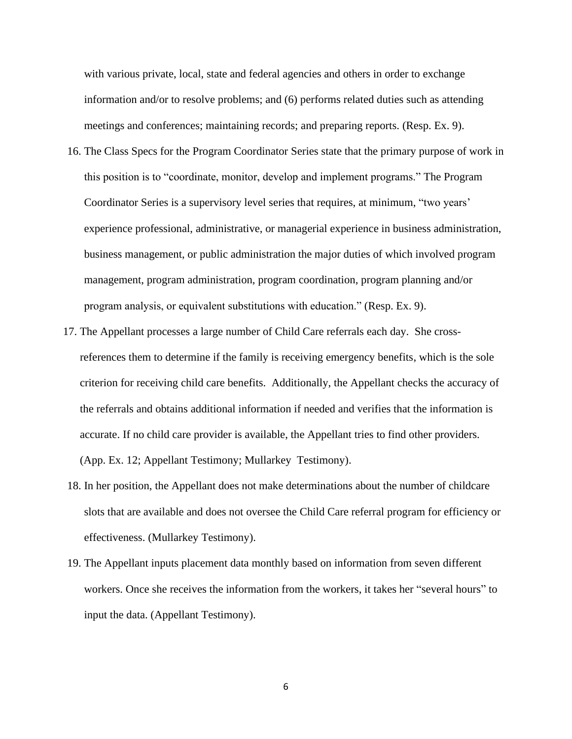with various private, local, state and federal agencies and others in order to exchange information and/or to resolve problems; and (6) performs related duties such as attending meetings and conferences; maintaining records; and preparing reports. (Resp. Ex. 9).

- 16. The Class Specs for the Program Coordinator Series state that the primary purpose of work in this position is to "coordinate, monitor, develop and implement programs." The Program Coordinator Series is a supervisory level series that requires, at minimum, "two years' experience professional, administrative, or managerial experience in business administration, business management, or public administration the major duties of which involved program management, program administration, program coordination, program planning and/or program analysis, or equivalent substitutions with education." (Resp. Ex. 9).
- 17. The Appellant processes a large number of Child Care referrals each day. She crossreferences them to determine if the family is receiving emergency benefits, which is the sole criterion for receiving child care benefits. Additionally, the Appellant checks the accuracy of the referrals and obtains additional information if needed and verifies that the information is accurate. If no child care provider is available, the Appellant tries to find other providers. (App. Ex. 12; Appellant Testimony; Mullarkey Testimony).
- 18. In her position, the Appellant does not make determinations about the number of childcare slots that are available and does not oversee the Child Care referral program for efficiency or effectiveness. (Mullarkey Testimony).
- 19. The Appellant inputs placement data monthly based on information from seven different workers. Once she receives the information from the workers, it takes her "several hours" to input the data. (Appellant Testimony).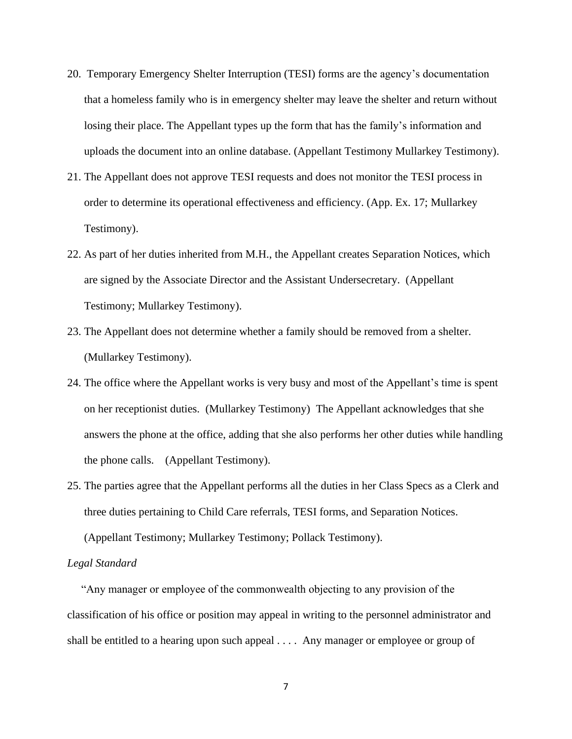- 20. Temporary Emergency Shelter Interruption (TESI) forms are the agency's documentation that a homeless family who is in emergency shelter may leave the shelter and return without losing their place. The Appellant types up the form that has the family's information and uploads the document into an online database. (Appellant Testimony Mullarkey Testimony).
- 21. The Appellant does not approve TESI requests and does not monitor the TESI process in order to determine its operational effectiveness and efficiency. (App. Ex. 17; Mullarkey Testimony).
- 22. As part of her duties inherited from M.H., the Appellant creates Separation Notices, which are signed by the Associate Director and the Assistant Undersecretary. (Appellant Testimony; Mullarkey Testimony).
- 23. The Appellant does not determine whether a family should be removed from a shelter. (Mullarkey Testimony).
- 24. The office where the Appellant works is very busy and most of the Appellant's time is spent on her receptionist duties. (Mullarkey Testimony) The Appellant acknowledges that she answers the phone at the office, adding that she also performs her other duties while handling the phone calls. (Appellant Testimony).
- 25. The parties agree that the Appellant performs all the duties in her Class Specs as a Clerk and three duties pertaining to Child Care referrals, TESI forms, and Separation Notices. (Appellant Testimony; Mullarkey Testimony; Pollack Testimony).

#### *Legal Standard*

 "Any manager or employee of the commonwealth objecting to any provision of the classification of his office or position may appeal in writing to the personnel administrator and shall be entitled to a hearing upon such appeal . . . . Any manager or employee or group of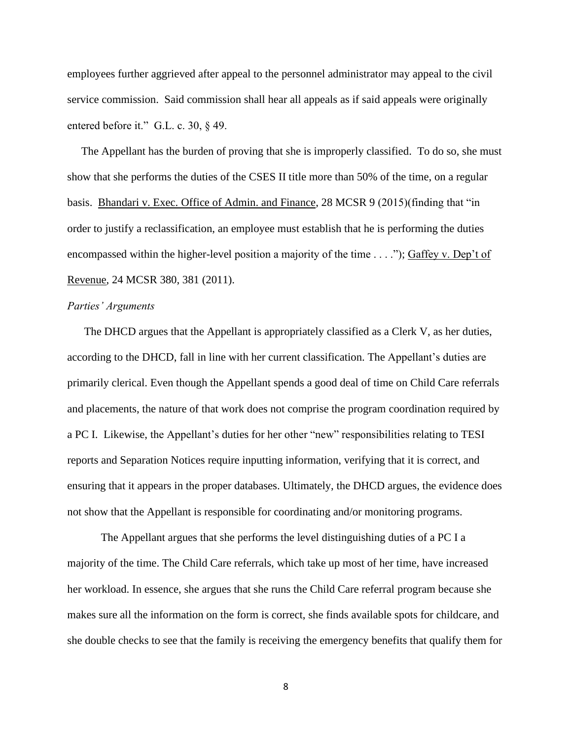employees further aggrieved after appeal to the personnel administrator may appeal to the civil service commission. Said commission shall hear all appeals as if said appeals were originally entered before it." G.L. c. 30, § 49.

 The Appellant has the burden of proving that she is improperly classified. To do so, she must show that she performs the duties of the CSES II title more than 50% of the time, on a regular basis. Bhandari v. Exec. Office of Admin. and Finance, 28 MCSR 9 (2015)(finding that "in order to justify a reclassification, an employee must establish that he is performing the duties encompassed within the higher-level position a majority of the time  $\dots$ "); Gaffey v. Dep't of Revenue, 24 MCSR 380, 381 (2011).

#### *Parties' Arguments*

 The DHCD argues that the Appellant is appropriately classified as a Clerk V, as her duties, according to the DHCD, fall in line with her current classification. The Appellant's duties are primarily clerical. Even though the Appellant spends a good deal of time on Child Care referrals and placements, the nature of that work does not comprise the program coordination required by a PC I. Likewise, the Appellant's duties for her other "new" responsibilities relating to TESI reports and Separation Notices require inputting information, verifying that it is correct, and ensuring that it appears in the proper databases. Ultimately, the DHCD argues, the evidence does not show that the Appellant is responsible for coordinating and/or monitoring programs.

The Appellant argues that she performs the level distinguishing duties of a PC I a majority of the time. The Child Care referrals, which take up most of her time, have increased her workload. In essence, she argues that she runs the Child Care referral program because she makes sure all the information on the form is correct, she finds available spots for childcare, and she double checks to see that the family is receiving the emergency benefits that qualify them for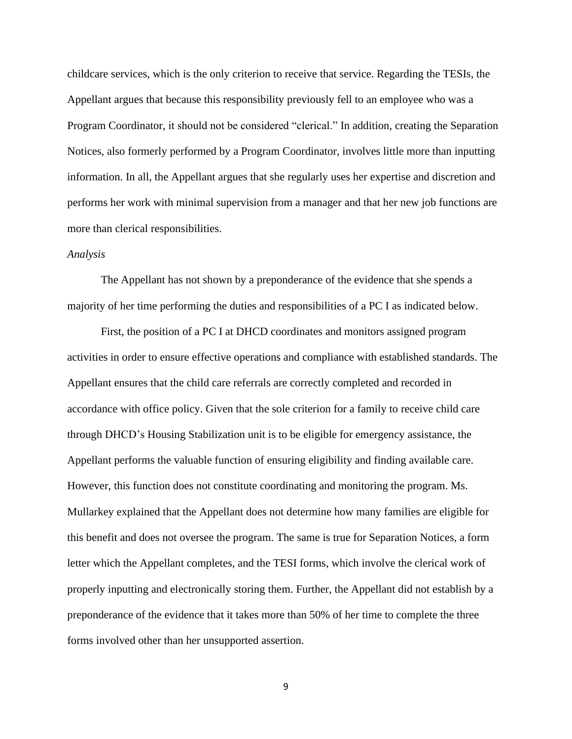childcare services, which is the only criterion to receive that service. Regarding the TESIs, the Appellant argues that because this responsibility previously fell to an employee who was a Program Coordinator, it should not be considered "clerical." In addition, creating the Separation Notices, also formerly performed by a Program Coordinator, involves little more than inputting information. In all, the Appellant argues that she regularly uses her expertise and discretion and performs her work with minimal supervision from a manager and that her new job functions are more than clerical responsibilities.

## *Analysis*

The Appellant has not shown by a preponderance of the evidence that she spends a majority of her time performing the duties and responsibilities of a PC I as indicated below.

First, the position of a PC I at DHCD coordinates and monitors assigned program activities in order to ensure effective operations and compliance with established standards. The Appellant ensures that the child care referrals are correctly completed and recorded in accordance with office policy. Given that the sole criterion for a family to receive child care through DHCD's Housing Stabilization unit is to be eligible for emergency assistance, the Appellant performs the valuable function of ensuring eligibility and finding available care. However, this function does not constitute coordinating and monitoring the program. Ms. Mullarkey explained that the Appellant does not determine how many families are eligible for this benefit and does not oversee the program. The same is true for Separation Notices, a form letter which the Appellant completes, and the TESI forms, which involve the clerical work of properly inputting and electronically storing them. Further, the Appellant did not establish by a preponderance of the evidence that it takes more than 50% of her time to complete the three forms involved other than her unsupported assertion.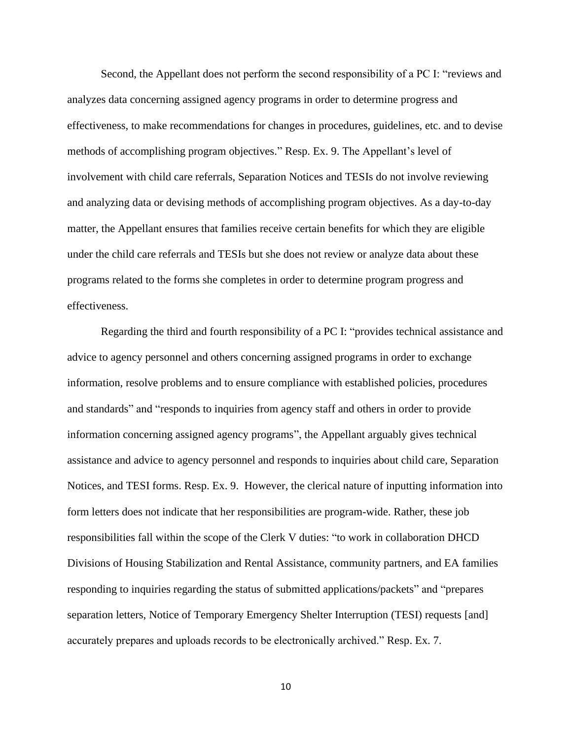Second, the Appellant does not perform the second responsibility of a PC I: "reviews and analyzes data concerning assigned agency programs in order to determine progress and effectiveness, to make recommendations for changes in procedures, guidelines, etc. and to devise methods of accomplishing program objectives." Resp. Ex. 9. The Appellant's level of involvement with child care referrals, Separation Notices and TESIs do not involve reviewing and analyzing data or devising methods of accomplishing program objectives. As a day-to-day matter, the Appellant ensures that families receive certain benefits for which they are eligible under the child care referrals and TESIs but she does not review or analyze data about these programs related to the forms she completes in order to determine program progress and effectiveness.

Regarding the third and fourth responsibility of a PC I: "provides technical assistance and advice to agency personnel and others concerning assigned programs in order to exchange information, resolve problems and to ensure compliance with established policies, procedures and standards" and "responds to inquiries from agency staff and others in order to provide information concerning assigned agency programs", the Appellant arguably gives technical assistance and advice to agency personnel and responds to inquiries about child care, Separation Notices, and TESI forms. Resp. Ex. 9. However, the clerical nature of inputting information into form letters does not indicate that her responsibilities are program-wide. Rather, these job responsibilities fall within the scope of the Clerk V duties: "to work in collaboration DHCD Divisions of Housing Stabilization and Rental Assistance, community partners, and EA families responding to inquiries regarding the status of submitted applications/packets" and "prepares separation letters, Notice of Temporary Emergency Shelter Interruption (TESI) requests [and] accurately prepares and uploads records to be electronically archived." Resp. Ex. 7.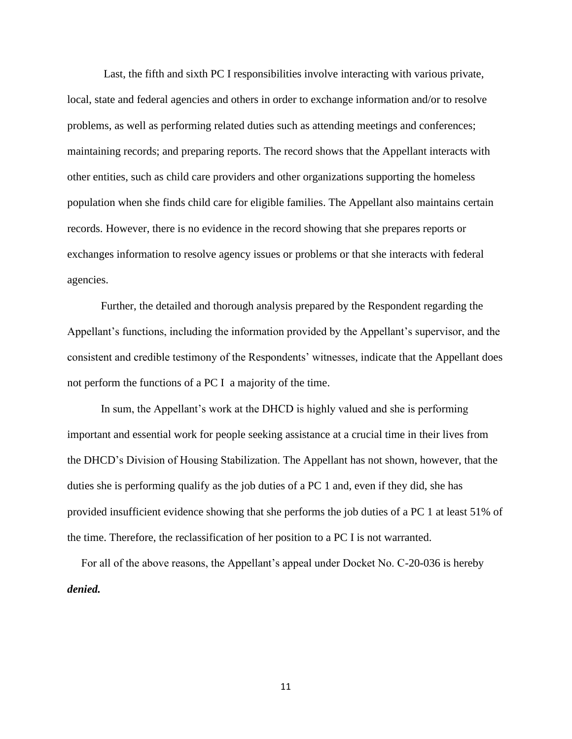Last, the fifth and sixth PC I responsibilities involve interacting with various private, local, state and federal agencies and others in order to exchange information and/or to resolve problems, as well as performing related duties such as attending meetings and conferences; maintaining records; and preparing reports. The record shows that the Appellant interacts with other entities, such as child care providers and other organizations supporting the homeless population when she finds child care for eligible families. The Appellant also maintains certain records. However, there is no evidence in the record showing that she prepares reports or exchanges information to resolve agency issues or problems or that she interacts with federal agencies.

Further, the detailed and thorough analysis prepared by the Respondent regarding the Appellant's functions, including the information provided by the Appellant's supervisor, and the consistent and credible testimony of the Respondents' witnesses, indicate that the Appellant does not perform the functions of a PC I a majority of the time.

In sum, the Appellant's work at the DHCD is highly valued and she is performing important and essential work for people seeking assistance at a crucial time in their lives from the DHCD's Division of Housing Stabilization. The Appellant has not shown, however, that the duties she is performing qualify as the job duties of a PC 1 and, even if they did, she has provided insufficient evidence showing that she performs the job duties of a PC 1 at least 51% of the time. Therefore, the reclassification of her position to a PC I is not warranted.

 For all of the above reasons, the Appellant's appeal under Docket No. C-20-036 is hereby *denied.*